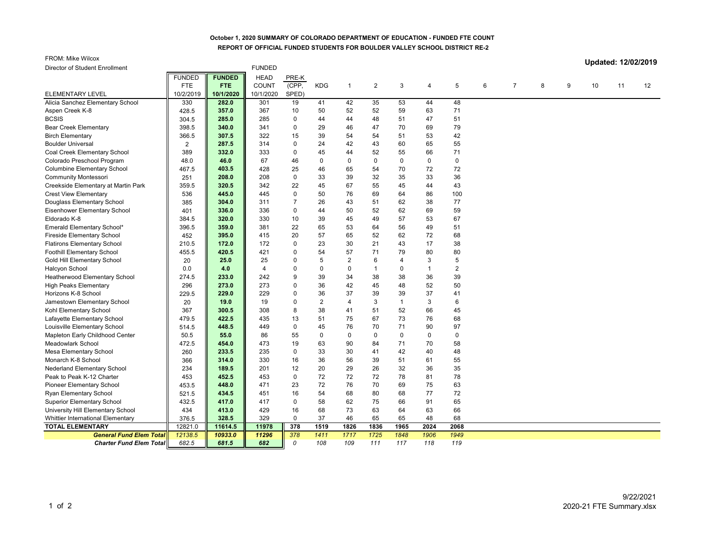## **October 1, 2020 SUMMARY OF COLORADO DEPARTMENT OF EDUCATION - FUNDED FTE COUNT REPORT OF OFFICIAL FUNDED STUDENTS FOR BOULDER VALLEY SCHOOL DISTRICT RE-2**

FROM: Mike Wilcox

**Updated: 12/02/2019**

| Director of Student Enrollment           |               |               | <b>FUNDED</b> |                |                |                |                |                |             |                |   |                |   |   |    |    |                 |
|------------------------------------------|---------------|---------------|---------------|----------------|----------------|----------------|----------------|----------------|-------------|----------------|---|----------------|---|---|----|----|-----------------|
|                                          | <b>FUNDED</b> | <b>FUNDED</b> | <b>HEAD</b>   | PRE-K          |                |                |                |                |             |                |   |                |   |   |    |    |                 |
|                                          | FTE           | FTE:          | <b>COUNT</b>  | (CPP,          | <b>KDG</b>     | $\overline{1}$ | $\overline{2}$ | 3              | 4           | 5              | 6 | $\overline{7}$ | 8 | 9 | 10 | 11 | 12 <sup>°</sup> |
| ELEMENTARY LEVEL                         | 10/2/2019     | 10/1/2020     | 10/1/2020     | SPED)          |                |                |                |                |             |                |   |                |   |   |    |    |                 |
| Alicia Sanchez Elementary School         | 330           | 282.0         | 301           | 19             | 41             | 42             | 35             | 53             | 44          | 48             |   |                |   |   |    |    |                 |
| Aspen Creek K-8                          | 428.5         | 357.0         | 367           | 10             | 50             | 52             | 52             | 59             | 63          | 71             |   |                |   |   |    |    |                 |
| <b>BCSIS</b>                             | 304.5         | 285.0         | 285           | $\Omega$       | 44             | 44             | 48             | 51             | 47          | 51             |   |                |   |   |    |    |                 |
| <b>Bear Creek Elementary</b>             | 398.5         | 340.0         | 341           | $\mathbf 0$    | 29             | 46             | 47             | 70             | 69          | 79             |   |                |   |   |    |    |                 |
| <b>Birch Elementary</b>                  | 366.5         | 307.5         | 322           | 15             | 39             | 54             | 54             | 51             | 53          | 42             |   |                |   |   |    |    |                 |
| <b>Boulder Universal</b>                 | 2             | 287.5         | 314           | $\mathbf 0$    | 24             | 42             | 43             | 60             | 65          | 55             |   |                |   |   |    |    |                 |
| Coal Creek Elementary School             | 389           | 332.0         | 333           | $\Omega$       | 45             | 44             | 52             | 55             | 66          | 71             |   |                |   |   |    |    |                 |
| Colorado Preschool Program               | 48.0          | 46.0          | 67            | 46             | $\mathbf 0$    | $\mathbf 0$    | 0              | 0              | 0           | $\mathbf 0$    |   |                |   |   |    |    |                 |
| <b>Columbine Elementary School</b>       | 467.5         | 403.5         | 428           | 25             | 46             | 65             | 54             | 70             | 72          | 72             |   |                |   |   |    |    |                 |
| <b>Community Montessori</b>              | 251           | 208.0         | 208           | $\mathbf 0$    | 33             | 39             | 32             | 35             | 33          | 36             |   |                |   |   |    |    |                 |
| Creekside Elementary at Martin Park      | 359.5         | 320.5         | 342           | 22             | 45             | 67             | 55             | 45             | 44          | 43             |   |                |   |   |    |    |                 |
| <b>Crest View Elementary</b>             | 536           | 445.0         | 445           | $\mathbf 0$    | 50             | 76             | 69             | 64             | 86          | 100            |   |                |   |   |    |    |                 |
| Douglass Elementary School               | 385           | 304.0         | 311           | $\overline{7}$ | 26             | 43             | 51             | 62             | 38          | 77             |   |                |   |   |    |    |                 |
| Eisenhower Elementary School             | 401           | 336.0         | 336           | $\Omega$       | 44             | 50             | 52             | 62             | 69          | 59             |   |                |   |   |    |    |                 |
| Eldorado K-8                             | 384.5         | 320.0         | 330           | 10             | 39             | 45             | 49             | 57             | 53          | 67             |   |                |   |   |    |    |                 |
| Emerald Elementary School*               | 396.5         | 359.0         | 381           | 22             | 65             | 53             | 64             | 56             | 49          | 51             |   |                |   |   |    |    |                 |
| <b>Fireside Elementary School</b>        | 452           | 395.0         | 415           | 20             | 57             | 65             | 52             | 62             | 72          | 68             |   |                |   |   |    |    |                 |
| <b>Flatirons Elementary School</b>       | 210.5         | 172.0         | 172           | $\mathbf{0}$   | 23             | 30             | 21             | 43             | 17          | 38             |   |                |   |   |    |    |                 |
| Foothill Elementary School               | 455.5         | 420.5         | 421           | $\Omega$       | 54             | 57             | 71             | 79             | 80          | 80             |   |                |   |   |    |    |                 |
| Gold Hill Elementary School              | 20            | 25.0          | 25            | $\mathbf{0}$   | 5              | $\overline{2}$ | 6              | 4              | 3           | $\overline{5}$ |   |                |   |   |    |    |                 |
| Halcyon School                           | 0.0           | 4.0           | 4             | $\Omega$       | $\mathbf{0}$   | $\Omega$       | $\overline{1}$ | $\Omega$       | $\mathbf 1$ | $\overline{2}$ |   |                |   |   |    |    |                 |
| Heatherwood Elementary School            | 274.5         | 233.0         | 242           | 9              | 39             | 34             | 38             | 38             | 36          | 39             |   |                |   |   |    |    |                 |
| <b>High Peaks Elementary</b>             | 296           | 273.0         | 273           | $\Omega$       | 36             | 42             | 45             | 48             | 52          | 50             |   |                |   |   |    |    |                 |
| Horizons K-8 School                      | 229.5         | 229.0         | 229           | $\Omega$       | 36             | 37             | 39             | 39             | 37          | 41             |   |                |   |   |    |    |                 |
| Jamestown Elementary School              | 20            | 19.0          | 19            | $\Omega$       | $\overline{2}$ | $\overline{4}$ | 3              | $\overline{1}$ | 3           | 6              |   |                |   |   |    |    |                 |
| Kohl Elementary School                   | 367           | 300.5         | 308           | 8              | 38             | 41             | 51             | 52             | 66          | 45             |   |                |   |   |    |    |                 |
| Lafayette Elementary School              | 479.5         | 422.5         | 435           | 13             | 51             | 75             | 67             | 73             | 76          | 68             |   |                |   |   |    |    |                 |
| Louisville Elementary School             | 514.5         | 448.5         | 449           | $\Omega$       | 45             | 76             | 70             | 71             | 90          | 97             |   |                |   |   |    |    |                 |
| Mapleton Early Childhood Center          | 50.5          | 55.0          | 86            | 55             | $\mathbf 0$    | $\mathbf 0$    | $\mathbf 0$    | 0              | 0           | $\mathbf 0$    |   |                |   |   |    |    |                 |
| <b>Meadowlark School</b>                 | 472.5         | 454.0         | 473           | 19             | 63             | 90             | 84             | 71             | 70          | 58             |   |                |   |   |    |    |                 |
| Mesa Elementary School                   | 260           | 233.5         | 235           | $\mathbf 0$    | 33             | 30             | 41             | 42             | 40          | 48             |   |                |   |   |    |    |                 |
| Monarch K-8 School                       | 366           | 314.0         | 330           | 16             | 36             | 56             | 39             | 51             | 61          | 55             |   |                |   |   |    |    |                 |
| Nederland Elementary School              | 234           | 189.5         | 201           | 12             | 20             | 29             | 26             | 32             | 36          | 35             |   |                |   |   |    |    |                 |
| Peak to Peak K-12 Charter                | 453           | 452.5         | 453           | $\mathbf 0$    | 72             | 72             | 72             | 78             | 81          | 78             |   |                |   |   |    |    |                 |
| <b>Pioneer Elementary School</b>         | 453.5         | 448.0         | 471           | 23             | 72             | 76             | 70             | 69             | 75          | 63             |   |                |   |   |    |    |                 |
| Ryan Elementary School                   | 521.5         | 434.5         | 451           | 16             | 54             | 68             | 80             | 68             | 77          | 72             |   |                |   |   |    |    |                 |
| <b>Superior Elementary School</b>        | 432.5         | 417.0         | 417           | 0              | 58             | 62             | 75             | 66             | 91          | 65             |   |                |   |   |    |    |                 |
| University Hill Elementary School        | 434           | 413.0         | 429           | 16             | 68             | 73             | 63             | 64             | 63          | 66             |   |                |   |   |    |    |                 |
| <b>Whittier International Elementary</b> | 376.5         | 328.5         | 329           | $\mathbf 0$    | 37             | 46             | 65             | 65             | 48          | 68             |   |                |   |   |    |    |                 |
| <b>TOTAL ELEMENTARY</b>                  | 12821.0       | 11614.5       | 11978         | 378            | 1519           | 1826           | 1836           | 1965           | 2024        | 2068           |   |                |   |   |    |    |                 |
| <b>General Fund Elem Total</b>           | 12138.5       | 10933.0       | 11296         | 378            | 1411           | 1717           | 1725           | 1848           | 1906        | 1949           |   |                |   |   |    |    |                 |
| <b>Charter Fund Elem Total</b>           | 682.5         | 681.5         | 682           | 0              | 108            | 109            | 111            | 117            | 118         | 119            |   |                |   |   |    |    |                 |
|                                          |               |               |               |                |                |                |                |                |             |                |   |                |   |   |    |    |                 |